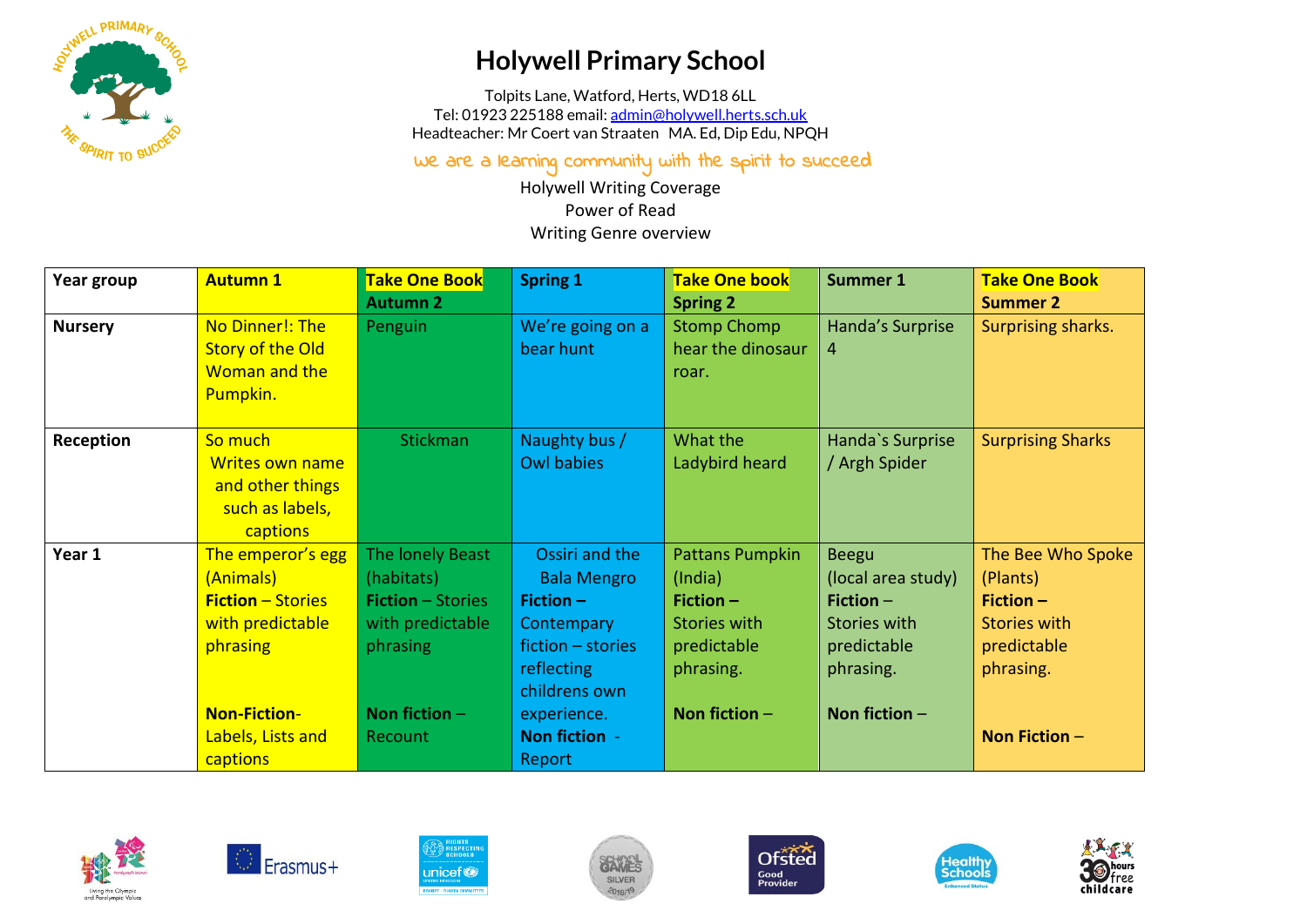

## **Holywell Primary School**

Tolpits Lane, Watford, Herts, WD18 6LL Tel: 01923 225188 email[: admin@holywell.herts.sch.uk](mailto:admin@holywell.herts.sch.uk) Headteacher: Mr Coert van Straaten MA. Ed, Dip Edu, NPQH

We are a learning community with the spirit to succeed

Holywell Writing Coverage Power of Read Writing Genre overview

| Year group     | <b>Autumn 1</b>          | <b>Take One Book</b>     | <b>Spring 1</b>    | <b>Take One book</b> | <b>Summer 1</b>     | <b>Take One Book</b>     |
|----------------|--------------------------|--------------------------|--------------------|----------------------|---------------------|--------------------------|
|                |                          | <b>Autumn 2</b>          |                    | <b>Spring 2</b>      |                     | <b>Summer 2</b>          |
| <b>Nursery</b> | No Dinner!: The          | Penguin                  | We're going on a   | <b>Stomp Chomp</b>   | Handa's Surprise    | Surprising sharks.       |
|                | <b>Story of the Old</b>  |                          | bear hunt          | hear the dinosaur    | 4                   |                          |
|                | Woman and the            |                          |                    | roar.                |                     |                          |
|                | Pumpkin.                 |                          |                    |                      |                     |                          |
|                |                          |                          |                    |                      |                     |                          |
| Reception      | So much                  | <b>Stickman</b>          | Naughty bus /      | What the             | Handa's Surprise    | <b>Surprising Sharks</b> |
|                | <b>Writes own name</b>   |                          | <b>Owl babies</b>  | Ladybird heard       | / Argh Spider       |                          |
|                | and other things         |                          |                    |                      |                     |                          |
|                | such as labels,          |                          |                    |                      |                     |                          |
|                | captions                 |                          |                    |                      |                     |                          |
| Year 1         | The emperor's egg        | The lonely Beast         | Ossiri and the     | Pattans Pumpkin      | <b>Beegu</b>        | The Bee Who Spoke        |
|                | (Animals)                | (habitats)               | <b>Bala Mengro</b> | (India)              | (local area study)  | (Plants)                 |
|                | <b>Fiction - Stories</b> | <b>Fiction</b> – Stories | Fiction $-$        | Fiction $-$          | Fiction $-$         | $Fiction -$              |
|                | with predictable         | with predictable         | <b>Contempary</b>  | <b>Stories with</b>  | <b>Stories with</b> | <b>Stories with</b>      |
|                | phrasing                 | phrasing                 | fiction - stories  | predictable          | predictable         | predictable              |
|                |                          |                          | <b>reflecting</b>  | phrasing.            | phrasing.           | phrasing.                |
|                |                          |                          | childrens own      |                      |                     |                          |
|                | <b>Non-Fiction-</b>      | Non fiction $-$          | experience.        | Non fiction $-$      | Non fiction $-$     |                          |
|                | Labels, Lists and        | Recount                  | Non fiction -      |                      |                     | Non Fiction $-$          |
|                | captions                 |                          | Report             |                      |                     |                          |













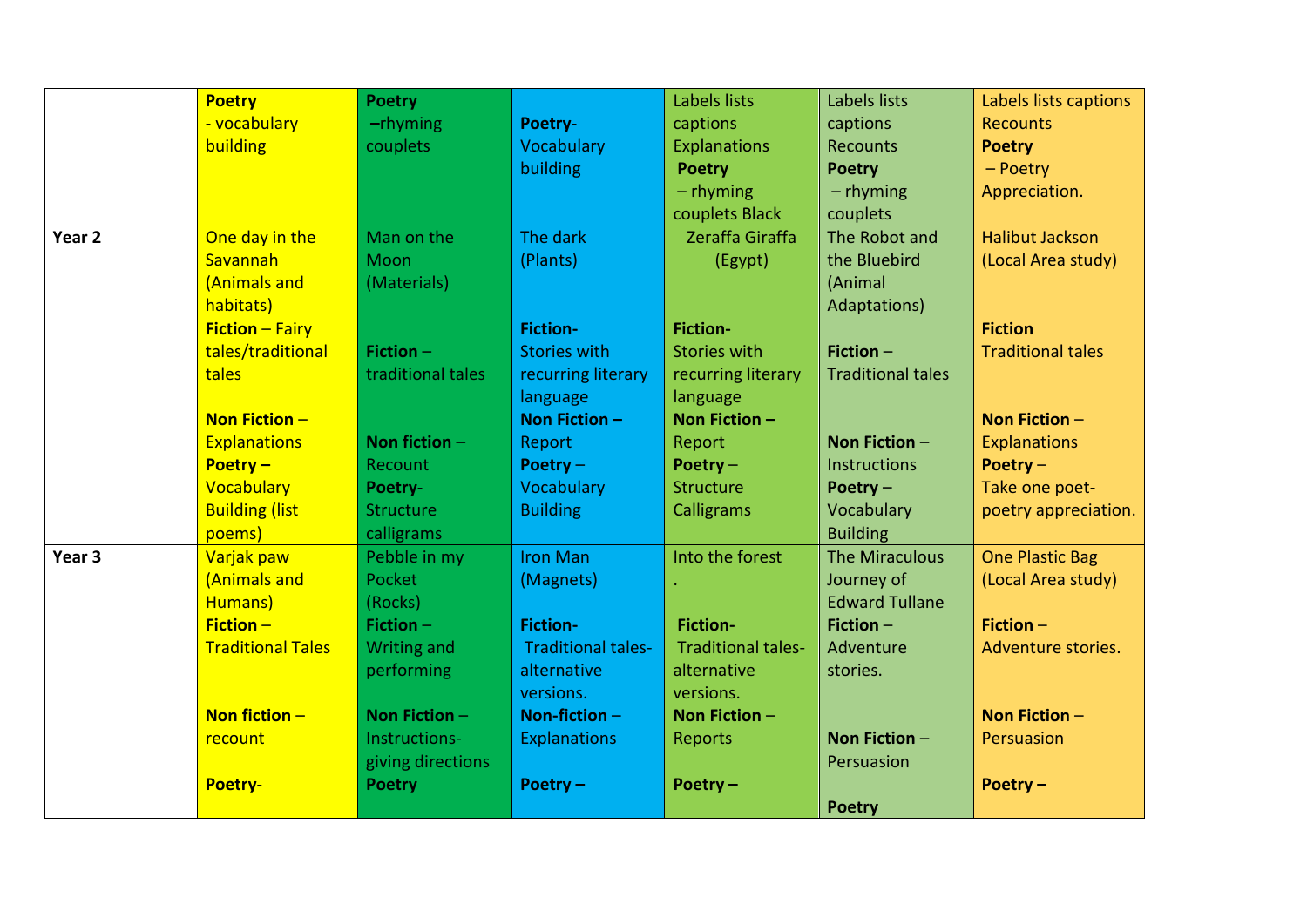|                   | <b>Poetry</b>            | <b>Poetry</b>      |                           | Labels lists              | Labels lists             | Labels lists captions    |
|-------------------|--------------------------|--------------------|---------------------------|---------------------------|--------------------------|--------------------------|
|                   | - vocabulary             | $-$ rhyming        | Poetry-                   | captions                  | captions                 | <b>Recounts</b>          |
|                   | building                 | couplets           | Vocabulary                | <b>Explanations</b>       | <b>Recounts</b>          | <b>Poetry</b>            |
|                   |                          |                    | building                  | <b>Poetry</b>             | <b>Poetry</b>            | $-$ Poetry               |
|                   |                          |                    |                           | $-$ rhyming               | $-$ rhyming              | Appreciation.            |
|                   |                          |                    |                           | couplets Black            | couplets                 |                          |
| Year 2            | One day in the           | Man on the         | The dark                  | Zeraffa Giraffa           | The Robot and            | <b>Halibut Jackson</b>   |
|                   | Savannah                 | Moon               | (Plants)                  | (Egypt)                   | the Bluebird             | (Local Area study)       |
|                   | (Animals and             | (Materials)        |                           |                           | (Animal                  |                          |
|                   | habitats)                |                    |                           |                           | Adaptations)             |                          |
|                   | <b>Fiction - Fairy</b>   |                    | <b>Fiction-</b>           | <b>Fiction-</b>           |                          | <b>Fiction</b>           |
|                   | tales/traditional        | Fiction $-$        | <b>Stories with</b>       | <b>Stories with</b>       | Fiction $-$              | <b>Traditional tales</b> |
|                   | tales                    | traditional tales  | recurring literary        | recurring literary        | <b>Traditional tales</b> |                          |
|                   |                          |                    | language                  | language                  |                          |                          |
|                   | Non Fiction $-$          |                    | Non Fiction $-$           | Non Fiction -             |                          | Non Fiction $-$          |
|                   | <b>Explanations</b>      | Non fiction $-$    | Report                    | Report                    | Non Fiction -            | <b>Explanations</b>      |
|                   | Poetry $-$               | Recount            | Poetry $-$                | Poetry $-$                | <b>Instructions</b>      | Poetry $-$               |
|                   | Vocabulary               | Poetry-            | Vocabulary                | <b>Structure</b>          | Poetry $-$               | Take one poet-           |
|                   | <b>Building (list</b>    | <b>Structure</b>   | <b>Building</b>           | Calligrams                | Vocabulary               | poetry appreciation.     |
|                   | poems)                   | calligrams         |                           |                           | <b>Building</b>          |                          |
| Year <sub>3</sub> | Varjak paw               | Pebble in my       | <b>Iron Man</b>           | Into the forest           | The Miraculous           | <b>One Plastic Bag</b>   |
|                   | (Animals and             | Pocket             | (Magnets)                 |                           | Journey of               | (Local Area study)       |
|                   | Humans)                  | (Rocks)            |                           |                           | <b>Edward Tullane</b>    |                          |
|                   | $Fiction -$              | Fiction $-$        | <b>Fiction-</b>           | <b>Fiction-</b>           | Fiction $-$              | Fiction $-$              |
|                   | <b>Traditional Tales</b> | <b>Writing and</b> | <b>Traditional tales-</b> | <b>Traditional tales-</b> | Adventure                | Adventure stories.       |
|                   |                          | performing         | alternative               | alternative               | stories.                 |                          |
|                   |                          |                    | versions.                 | versions.                 |                          |                          |
|                   | Non fiction $-$          | Non Fiction $-$    | Non-fiction $-$           | Non Fiction $-$           |                          | Non Fiction $-$          |
|                   | recount                  | Instructions-      | Explanations              | Reports                   | Non Fiction $-$          | Persuasion               |
|                   |                          | giving directions  |                           |                           | Persuasion               |                          |
|                   | Poetry-                  | <b>Poetry</b>      | Poetry $-$                | Poetry $-$                |                          | Poetry-                  |
|                   |                          |                    |                           |                           | <b>Poetry</b>            |                          |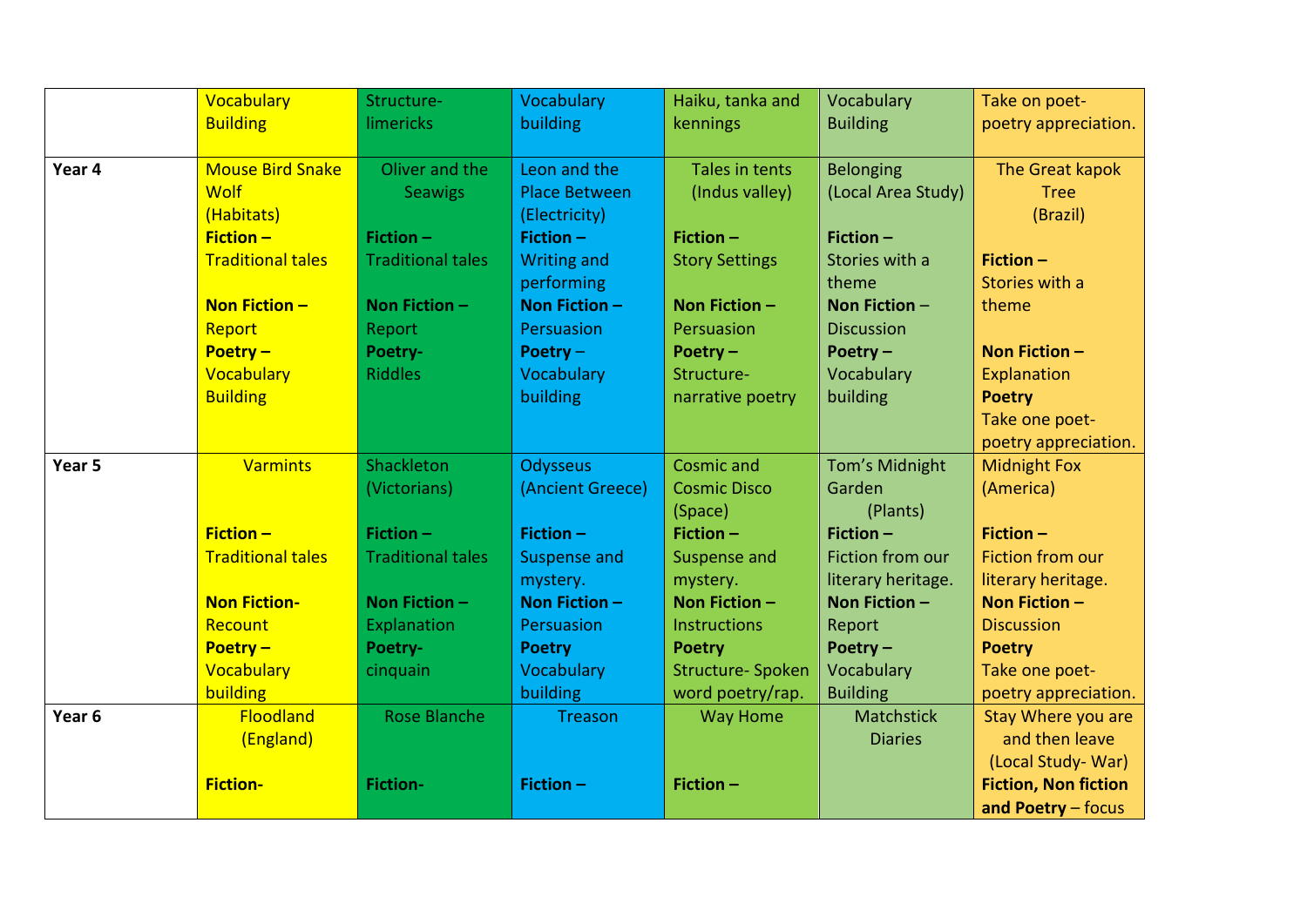|        | Vocabulary               | Structure-               | Vocabulary           | Haiku, tanka and         | Vocabulary         | Take on poet-               |
|--------|--------------------------|--------------------------|----------------------|--------------------------|--------------------|-----------------------------|
|        | <b>Building</b>          | limericks                | building             | kennings                 | <b>Building</b>    | poetry appreciation.        |
|        |                          |                          |                      |                          |                    |                             |
| Year 4 | <b>Mouse Bird Snake</b>  | Oliver and the           | Leon and the         | Tales in tents           | <b>Belonging</b>   | The Great kapok             |
|        | <b>Wolf</b>              | <b>Seawigs</b>           | <b>Place Between</b> | (Indus valley)           | (Local Area Study) | <b>Tree</b>                 |
|        | (Habitats)               |                          | (Electricity)        |                          |                    | (Brazil)                    |
|        | $Fiction -$              | Fiction $-$              | <b>Fiction -</b>     | Fiction $-$              | Fiction $-$        |                             |
|        | <b>Traditional tales</b> | <b>Traditional tales</b> | <b>Writing and</b>   | <b>Story Settings</b>    | Stories with a     | Fiction-                    |
|        |                          |                          | performing           |                          | theme              | Stories with a              |
|        | Non Fiction $-$          | Non Fiction $-$          | Non Fiction $-$      | Non Fiction $-$          | Non Fiction $-$    | theme                       |
|        | Report                   | Report                   | Persuasion           | Persuasion               | <b>Discussion</b>  |                             |
|        | Poetry $-$               | Poetry-                  | Poetry $-$           | Poetry $-$               | Poetry $-$         | Non Fiction $-$             |
|        | Vocabulary               | <b>Riddles</b>           | Vocabulary           | Structure-               | Vocabulary         | Explanation                 |
|        | <b>Building</b>          |                          | building             | narrative poetry         | building           | <b>Poetry</b>               |
|        |                          |                          |                      |                          |                    | Take one poet-              |
|        |                          |                          |                      |                          |                    | poetry appreciation.        |
| Year 5 | <b>Varmints</b>          | Shackleton               | <b>Odysseus</b>      | <b>Cosmic and</b>        | Tom's Midnight     | <b>Midnight Fox</b>         |
|        |                          | (Victorians)             | (Ancient Greece)     | <b>Cosmic Disco</b>      | Garden             | (America)                   |
|        |                          |                          |                      | (Space)                  | (Plants)           |                             |
|        | $Fiction -$              | Fiction $-$              | Fiction $-$          | Fiction $-$              | Fiction $-$        | Fiction $-$                 |
|        | <b>Traditional tales</b> | <b>Traditional tales</b> | <b>Suspense and</b>  | Suspense and             | Fiction from our   | Fiction from our            |
|        |                          |                          | mystery.             | mystery.                 | literary heritage. | literary heritage.          |
|        | <b>Non Fiction-</b>      | Non Fiction -            | <b>Non Fiction -</b> | Non Fiction $-$          | Non Fiction -      | Non Fiction $-$             |
|        | Recount                  | Explanation              | Persuasion           | <b>Instructions</b>      | Report             | <b>Discussion</b>           |
|        | Poetry $-$               | Poetry-                  | <b>Poetry</b>        | <b>Poetry</b>            | Poetry $-$         | <b>Poetry</b>               |
|        | Vocabulary               | cinquain                 | Vocabulary           | <b>Structure- Spoken</b> | Vocabulary         | Take one poet-              |
|        | building                 |                          | building             | word poetry/rap.         | <b>Building</b>    | poetry appreciation.        |
| Year 6 | Floodland                | <b>Rose Blanche</b>      | Treason              | <b>Way Home</b>          | <b>Matchstick</b>  | Stay Where you are          |
|        | (England)                |                          |                      |                          | <b>Diaries</b>     | and then leave              |
|        |                          |                          |                      |                          |                    | (Local Study-War)           |
|        | <b>Fiction-</b>          | <b>Fiction-</b>          | Fiction-             | Fiction-                 |                    | <b>Fiction, Non fiction</b> |
|        |                          |                          |                      |                          |                    | and Poetry - focus          |